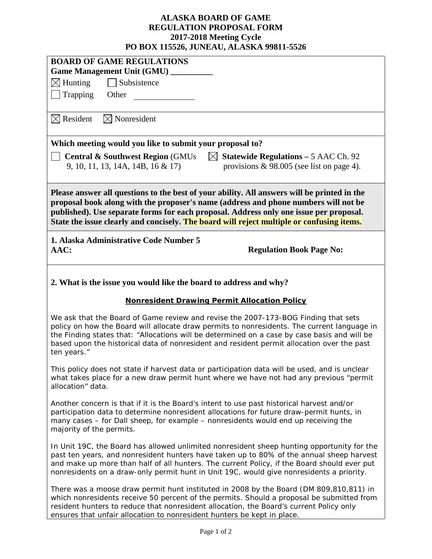## **ALASKA BOARD OF GAME REGULATION PROPOSAL FORM 2017-2018 Meeting Cycle PO BOX 115526, JUNEAU, ALASKA 99811-5526**

| PU DUA 115520, JUNEAU, ALASNA 99811-5520                                                                                                                                                                                                                                                                                                                                                       |  |  |  |  |
|------------------------------------------------------------------------------------------------------------------------------------------------------------------------------------------------------------------------------------------------------------------------------------------------------------------------------------------------------------------------------------------------|--|--|--|--|
| <b>BOARD OF GAME REGULATIONS</b>                                                                                                                                                                                                                                                                                                                                                               |  |  |  |  |
| Game Management Unit (GMU) _______                                                                                                                                                                                                                                                                                                                                                             |  |  |  |  |
| $\boxtimes$ Hunting<br>Subsistence                                                                                                                                                                                                                                                                                                                                                             |  |  |  |  |
| Trapping<br>Other                                                                                                                                                                                                                                                                                                                                                                              |  |  |  |  |
| $\boxtimes$ Nonresident<br>$\boxtimes$ Resident                                                                                                                                                                                                                                                                                                                                                |  |  |  |  |
| Which meeting would you like to submit your proposal to?                                                                                                                                                                                                                                                                                                                                       |  |  |  |  |
| $\boxtimes$ Statewide Regulations – 5 AAC Ch. 92<br><b>Central &amp; Southwest Region (GMUs)</b><br>9, 10, 11, 13, 14A, 14B, 16 & 17)<br>provisions $\&$ 98.005 (see list on page 4).                                                                                                                                                                                                          |  |  |  |  |
| Please answer all questions to the best of your ability. All answers will be printed in the<br>proposal book along with the proposer's name (address and phone numbers will not be<br>published). Use separate forms for each proposal. Address only one issue per proposal.<br>State the issue clearly and concisely. The board will reject multiple or confusing items.                      |  |  |  |  |
| 1. Alaska Administrative Code Number 5<br>AAC:<br><b>Regulation Book Page No:</b>                                                                                                                                                                                                                                                                                                              |  |  |  |  |
| 2. What is the issue you would like the board to address and why?                                                                                                                                                                                                                                                                                                                              |  |  |  |  |
| <b>Nonresident Drawing Permit Allocation Policy</b>                                                                                                                                                                                                                                                                                                                                            |  |  |  |  |
| We ask that the Board of Game review and revise the 2007-173-BOG Finding that sets<br>policy on how the Board will allocate draw permits to nonresidents. The current language in<br>the Finding states that: "Allocations will be determined on a case by case basis and will be<br>based upon the historical data of nonresident and resident permit allocation over the past<br>ten years." |  |  |  |  |
| This policy does not state if harvest data or participation data will be used, and is unclear<br>what takes place for a new draw permit hunt where we have not had any previous "permit<br>allocation" data.                                                                                                                                                                                   |  |  |  |  |
| Another concern is that if it is the Board's intent to use past historical harvest and/or<br>participation data to determine nonresident allocations for future draw-permit hunts, in<br>many cases - for Dall sheep, for example - nonresidents would end up receiving the<br>majority of the permits.                                                                                        |  |  |  |  |
| In Unit 19C, the Board has allowed unlimited nonresident sheep hunting opportunity for the<br>past ten years, and nonresident hunters have taken up to 80% of the annual sheep harvest<br>and make up more than half of all hunters. The current Policy, if the Board should ever put<br>nonresidents on a draw-only permit hunt in Unit 19C, would give nonresidents a priority.              |  |  |  |  |
| There was a moose draw permit hunt instituted in 2008 by the Board (DM 809,810,811) in<br>which nonresidents receive 50 percent of the permits. Should a proposal be submitted from<br>resident hunters to reduce that nonresident allocation, the Board's current Policy only<br>ensures that unfair allocation to nonresident hunters be kept in place.                                      |  |  |  |  |